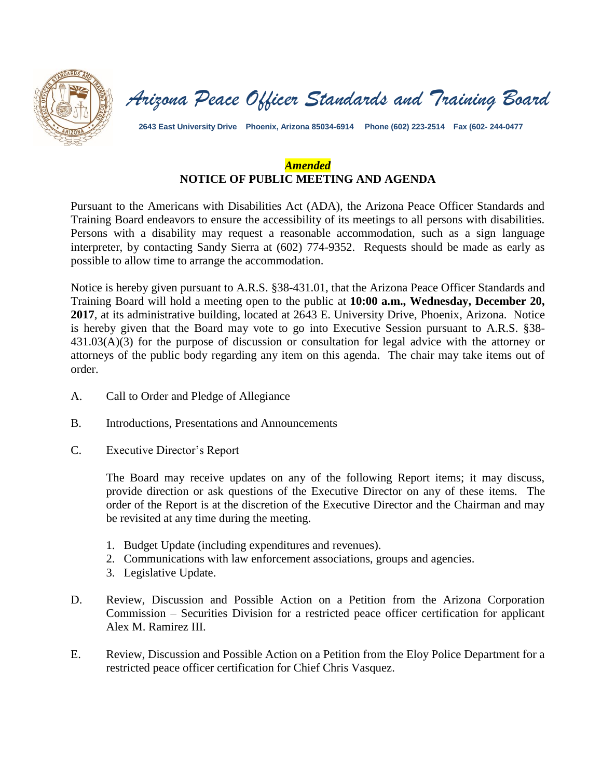

*Arizona Peace Officer Standards and Training Board*

**2643 East University Drive Phoenix, Arizona 85034-6914 Phone (602) 223-2514 Fax (602- 244-0477**

# *Amended*  **NOTICE OF PUBLIC MEETING AND AGENDA**

Pursuant to the Americans with Disabilities Act (ADA), the Arizona Peace Officer Standards and Training Board endeavors to ensure the accessibility of its meetings to all persons with disabilities. Persons with a disability may request a reasonable accommodation, such as a sign language interpreter, by contacting Sandy Sierra at (602) 774-9352. Requests should be made as early as possible to allow time to arrange the accommodation.

Notice is hereby given pursuant to A.R.S. §38-431.01, that the Arizona Peace Officer Standards and Training Board will hold a meeting open to the public at **10:00 a.m., Wednesday, December 20, 2017**, at its administrative building, located at 2643 E. University Drive, Phoenix, Arizona. Notice is hereby given that the Board may vote to go into Executive Session pursuant to A.R.S. §38- 431.03(A)(3) for the purpose of discussion or consultation for legal advice with the attorney or attorneys of the public body regarding any item on this agenda. The chair may take items out of order.

- A. Call to Order and Pledge of Allegiance
- B. Introductions, Presentations and Announcements
- C. Executive Director's Report

The Board may receive updates on any of the following Report items; it may discuss, provide direction or ask questions of the Executive Director on any of these items. The order of the Report is at the discretion of the Executive Director and the Chairman and may be revisited at any time during the meeting.

- 1. Budget Update (including expenditures and revenues).
- 2. Communications with law enforcement associations, groups and agencies.
- 3. Legislative Update.
- D. Review, Discussion and Possible Action on a Petition from the Arizona Corporation Commission – Securities Division for a restricted peace officer certification for applicant Alex M. Ramirez III.
- E. Review, Discussion and Possible Action on a Petition from the Eloy Police Department for a restricted peace officer certification for Chief Chris Vasquez.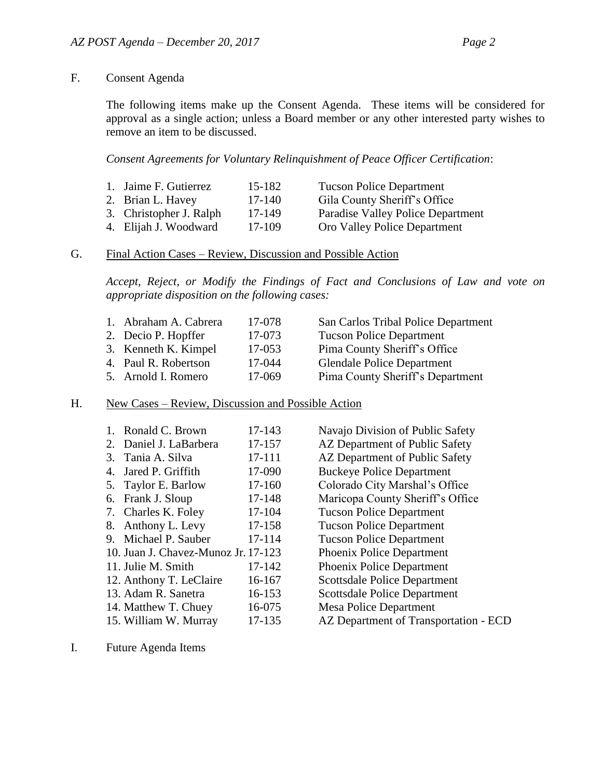### F. Consent Agenda

The following items make up the Consent Agenda. These items will be considered for approval as a single action; unless a Board member or any other interested party wishes to remove an item to be discussed.

#### *Consent Agreements for Voluntary Relinquishment of Peace Officer Certification*:

| 1. Jaime F. Gutierrez   | 15-182 | <b>Tucson Police Department</b>   |
|-------------------------|--------|-----------------------------------|
| 2. Brian L. Havey       | 17-140 | Gila County Sheriff's Office      |
| 3. Christopher J. Ralph | 17-149 | Paradise Valley Police Department |
| 4. Elijah J. Woodward   | 17-109 | Oro Valley Police Department      |

## G. Final Action Cases – Review, Discussion and Possible Action

*Accept, Reject, or Modify the Findings of Fact and Conclusions of Law and vote on appropriate disposition on the following cases:*

| 1. Abraham A. Cabrera | 17-078 | San Carlos Tribal Police Department |
|-----------------------|--------|-------------------------------------|
| 2. Decio P. Hopffer   | 17-073 | <b>Tucson Police Department</b>     |
| 3. Kenneth K. Kimpel  | 17-053 | Pima County Sheriff's Office        |
| 4. Paul R. Robertson  | 17-044 | <b>Glendale Police Department</b>   |
| 5. Arnold I. Romero   | 17-069 | Pima County Sheriff's Department    |

#### H. New Cases – Review, Discussion and Possible Action

| 1. | Ronald C. Brown                     | 17-143 |
|----|-------------------------------------|--------|
| 2. | Daniel J. LaBarbera                 | 17-157 |
| 3. | Tania A. Silva                      | 17-111 |
| 4. | Jared P. Griffith                   | 17-090 |
| 5. | Taylor E. Barlow                    | 17-160 |
| 6. | Frank J. Sloup                      | 17-148 |
|    | 7. Charles K. Foley                 | 17-104 |
|    | 8. Anthony L. Levy                  | 17-158 |
| 9. | Michael P. Sauber                   | 17-114 |
|    | 10. Juan J. Chavez-Munoz Jr. 17-123 |        |
|    | 11. Julie M. Smith                  | 17-142 |
|    | 12. Anthony T. LeClaire             | 16-167 |
|    | 13. Adam R. Sanetra                 | 16-153 |
|    | 14. Matthew T. Chuey                | 16-075 |
|    | 15. William W. Murray               | 17-135 |
|    |                                     |        |

Navajo Division of Public Safety AZ Department of Public Safety AZ Department of Public Safety Buckeye Police Department Colorado City Marshal's Office Maricopa County Sheriff's Office Tucson Police Department Tucson Police Department Tucson Police Department Phoenix Police Department Phoenix Police Department Scottsdale Police Department Scottsdale Police Department Mesa Police Department AZ Department of Transportation - ECD

I. Future Agenda Items